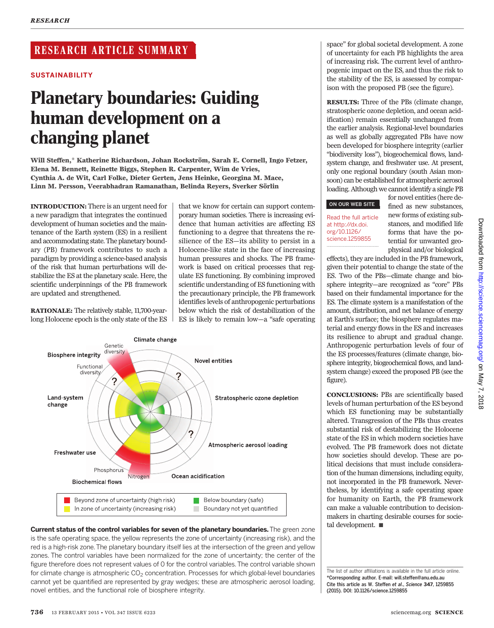## RESEARCH ARTICLE SUMMARY

#### SUSTAINABILITY

# Planetary boundaries: Guiding human development on a changing planet

Will Steffen,\* Katherine Richardson, Johan Rockström, Sarah E. Cornell, Ingo Fetzer, Elena M. Bennett, Reinette Biggs, Stephen R. Carpenter, Wim de Vries, Cynthia A. de Wit, Carl Folke, Dieter Gerten, Jens Heinke, Georgina M. Mace, Linn M. Persson, Veerabhadran Ramanathan, Belinda Reyers, Sverker Sörlin

INTRODUCTION: There is an urgent need for a new paradigm that integrates the continued development of human societies and the maintenance of the Earth system (ES) in a resilient and accommodating state. The planetary boundary (PB) framework contributes to such a paradigm by providing a science-based analysis of the risk that human perturbations will destabilize the ES at the planetary scale. Here, the scientific underpinnings of the PB framework are updated and strengthened.

RATIONALE: The relatively stable, 11,700-yearlong Holocene epoch is the only state of the ES

that we know for certain can support contemporary human societies. There is increasing evidence that human activities are affecting ES functioning to a degree that threatens the resilience of the ES—its ability to persist in a Holocene-like state in the face of increasing human pressures and shocks. The PB framework is based on critical processes that regulate ES functioning. By combining improved scientific understanding of ES functioning with the precautionary principle, the PB framework identifies levels of anthropogenic perturbations below which the risk of destabilization of the ES is likely to remain low—a "safe operating



Current status of the control variables for seven of the planetary boundaries. The green zone is the safe operating space, the yellow represents the zone of uncertainty (increasing risk), and the red is a high-risk zone. The planetary boundary itself lies at the intersection of the green and yellow zones. The control variables have been normalized for the zone of uncertainty; the center of the figure therefore does not represent values of 0 for the control variables. The control variable shown for climate change is atmospheric  $CO<sub>2</sub>$  concentration. Processes for which global-level boundaries cannot yet be quantified are represented by gray wedges; these are atmospheric aerosol loading, novel entities, and the functional role of biosphere integrity.

space" for global societal development. A zone of uncertainty for each PB highlights the area of increasing risk. The current level of anthropogenic impact on the ES, and thus the risk to the stability of the ES, is assessed by comparison with the proposed PB (see the figure).

RESULTS: Three of the PBs (climate change, stratospheric ozone depletion, and ocean acidification) remain essentially unchanged from the earlier analysis. Regional-level boundaries as well as globally aggregated PBs have now been developed for biosphere integrity (earlier "biodiversity loss"), biogeochemical flows, landsystem change, and freshwater use. At present, only one regional boundary (south Asian monsoon) can be established for atmospheric aerosol loading. Although we cannot identify a single PB

#### ON OUR WEB SITE Read the full article at http://dx.doi. org/10.1126/ science.1259855

..................................................

for novel entities (here defined as new substances, new forms of existing substances, and modified life forms that have the potential for unwanted geophysical and/or biological

effects), they are included in the PB framework, given their potential to change the state of the ES. Two of the PBs—climate change and biosphere integrity—are recognized as "core" PBs based on their fundamental importance for the ES. The climate system is a manifestation of the amount, distribution, and net balance of energy at Earth's surface; the biosphere regulates material and energy flows in the ES and increases its resilience to abrupt and gradual change. Anthropogenic perturbation levels of four of the ES processes/features (climate change, biosphere integrity, biogeochemical flows, and landsystem change) exceed the proposed PB (see the figure).

CONCLUSIONS: PBs are scientifically based levels of human perturbation of the ES beyond which ES functioning may be substantially altered. Transgression of the PBs thus creates substantial risk of destabilizing the Holocene state of the ES in which modern societies have evolved. The PB framework does not dictate how societies should develop. These are political decisions that must include consideration of the human dimensions, including equity, not incorporated in the PB framework. Nevertheless, by identifying a safe operating space for humanity on Earth, the PB framework can make a valuable contribution to decisionmakers in charting desirable courses for societal development.  $\blacksquare$ 

The list of author affiliations is available in the full article online. \*Corresponding author. E-mail: will.steffen@anu.edu.au Cite this article as W. Steffen et al., Science 347, 1259855 (2015). DOI: 10.1126/science.1259855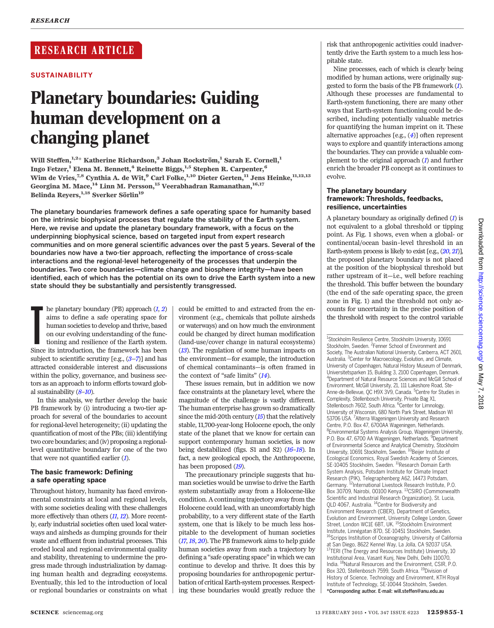## RESEARCH ARTICLE

#### SUSTAINABILITY

# Planetary boundaries: Guiding human development on a changing planet

Will Steffen,<sup>1,2\*</sup> Katherine Richardson,<sup>3</sup> Johan Rockström,<sup>1</sup> Sarah E. Cornell,<sup>1</sup> Ingo Fetzer, $^1$  Elena M. Bennett, $^4$  Reinette Biggs, $^{1,5}$  Stephen R. Carpenter, $^6$ Wim de Vries, $^{7,8}$  Cynthia A. de Wit, $^9$  Carl Folke, $^{1,10}$  Dieter Gerten, $^{\rm 11}$  Jens Heinke, $^{\rm 11,12,13}$ Georgina M. Mace,<sup>14</sup> Linn M. Persson,<sup>15</sup> Veerabhadran Ramanathan,<sup>16,17</sup> Belinda Reyers, 1,18 Sverker Sörlin<sup>19</sup>

The planetary boundaries framework defines a safe operating space for humanity based on the intrinsic biophysical processes that regulate the stability of the Earth system. Here, we revise and update the planetary boundary framework, with a focus on the underpinning biophysical science, based on targeted input from expert research communities and on more general scientific advances over the past 5 years. Several of the boundaries now have a two-tier approach, reflecting the importance of cross-scale interactions and the regional-level heterogeneity of the processes that underpin the boundaries. Two core boundaries—climate change and biosphere integrity—have been identified, each of which has the potential on its own to drive the Earth system into a new state should they be substantially and persistently transgressed.

**The planetary boundary (PB) approach (1, 2)**<br>
aims to define a safe operating space for<br>
human societies to develop and thrive, based<br>
on our evolving understanding of the func-<br>
tioning and resilience of the Earth system he planetary boundary (PB) approach  $(I, 2)$  $(I, 2)$  $(I, 2)$ aims to define a safe operating space for human societies to develop and thrive, based on our evolving understanding of the functioning and resilience of the Earth system. subject to scientific scrutiny [e.g.,  $(3-7)$  $(3-7)$  $(3-7)$  $(3-7)$  $(3-7)$ ] and has attracted considerable interest and discussions within the policy, governance, and business sectors as an approach to inform efforts toward global sustainability  $(8-10)$  $(8-10)$  $(8-10)$  $(8-10)$  $(8-10)$ .

In this analysis, we further develop the basic PB framework by (i) introducing a two-tier approach for several of the boundaries to account for regional-level heterogeneity; (ii) updating the quantification of most of the PBs; (iii) identifying two core boundaries; and (iv) proposing a regionallevel quantitative boundary for one of the two that were not quantified earlier  $(I)$ .

#### The basic framework: Defining a safe operating space

Throughout history, humanity has faced environmental constraints at local and regional levels, with some societies dealing with these challenges more effectively than others ([11](#page-9-0), [12](#page-9-0)). More recently, early industrial societies often used local waterways and airsheds as dumping grounds for their waste and effluent from industrial processes. This eroded local and regional environmental quality and stability, threatening to undermine the progress made through industrialization by damaging human health and degrading ecosystems. Eventually, this led to the introduction of local or regional boundaries or constraints on what

could be emitted to and extracted from the environment (e.g., chemicals that pollute airsheds or waterways) and on how much the environment could be changed by direct human modification (land-use/cover change in natural ecosystems)  $(13)$  $(13)$  $(13)$ . The regulation of some human impacts on the environment—for example, the introduction of chemical contaminants—is often framed in the context of "safe limits" ([14](#page-9-0)).

These issues remain, but in addition we now face constraints at the planetary level, where the magnitude of the challenge is vastly different. The human enterprise has grown so dramatically since the mid-20th century  $(15)$  $(15)$  $(15)$  that the relatively stable, 11,700-year-long Holocene epoch, the only state of the planet that we know for certain can support contemporary human societies, is now being destabilized (figs. S1 and S2)  $(16-18)$  $(16-18)$  $(16-18)$  $(16-18)$  $(16-18)$ . In fact, a new geological epoch, the Anthropocene, has been proposed ([19](#page-9-0)).

The precautionary principle suggests that human societies would be unwise to drive the Earth system substantially away from a Holocene-like condition. A continuing trajectory away from the Holocene could lead, with an uncomfortably high probability, to a very different state of the Earth system, one that is likely to be much less hospitable to the development of human societies ([17](#page-9-0),[18](#page-9-0), [20](#page-9-0)). The PB framework aims to help guide human societies away from such a trajectory by defining a "safe operating space"in which we can continue to develop and thrive. It does this by proposing boundaries for anthropogenic perturbation of critical Earth-system processes. Respecting these boundaries would greatly reduce the

risk that anthropogenic activities could inadvertently drive the Earth system to a much less hospitable state.

Nine processes, each of which is clearly being modified by human actions, were originally suggested to form the basis of the PB framework ([1](#page-9-0)). Although these processes are fundamental to Earth-system functioning, there are many other ways that Earth-system functioning could be described, including potentially valuable metrics for quantifying the human imprint on it. These alternative approaches [e.g., ([4](#page-9-0))] often represent ways to explore and quantify interactions among the boundaries. They can provide a valuable complement to the original approach  $(I)$  and further enrich the broader PB concept as it continues to evolve.

#### The planetary boundary framework: Thresholds, feedbacks, resilience, uncertainties

A planetary boundary as originally defined  $(I)$  is not equivalent to a global threshold or tipping point. As Fig. 1 shows, even when a global- or continental/ocean basin–level threshold in an Earth-system process is likely to exist [e.g.,  $(20, 21)$  $(20, 21)$  $(20, 21)$  $(20, 21)$  $(20, 21)$ ], the proposed planetary boundary is not placed at the position of the biophysical threshold but rather upstream of it—i.e., well before reaching the threshold. This buffer between the boundary (the end of the safe operating space, the green zone in Fig. 1) and the threshold not only accounts for uncertainty in the precise position of the threshold with respect to the control variable

<sup>1</sup>Stockholm Resilience Centre, Stockholm University, 10691 Stockholm, Sweden. <sup>2</sup>Fenner School of Environment and Society, The Australian National University, Canberra, ACT 2601, Australia. <sup>3</sup>Center for Macroecology, Evolution, and Climate, University of Copenhagen, Natural History Museum of Denmark, Universitetsparken 15, Building 3, 2100 Copenhagen, Denmark. 4 Department of Natural Resource Sciences and McGill School of Environment, McGill University, 21, 111 Lakeshore Road, Ste-Anne-de-Bellevue, QC H9X 3V9, Canada. <sup>5</sup>Centre for Studies in Complexity, Stellenbosch University, Private Bag X1, Stellenbosch 7602, South Africa. <sup>6</sup>Center for Limnology, University of Wisconsin, 680 North Park Street, Madison WI 53706 USA. <sup>7</sup> Alterra Wageningen University and Research Centre, P.O. Box 47, 6700AA Wageningen, Netherlands. <sup>8</sup>Environmental Systems Analysis Group, Wageningen University,<br>P.O. Box 47, 6700 AA Wageningen, Netherlands. <sup>9</sup>Department of Environmental Science and Analytical Chemistry, Stockholm<br>University, 10691 Stockholm, Sweden. <sup>10</sup>Beijer Institute of Ecological Economics, Royal Swedish Academy of Sciences, SE-10405 Stockholm, Sweden. <sup>11</sup>Research Domain Earth System Analysis, Potsdam Institute for Climate Impact Research (PIK), Telegraphenberg A62, 14473 Potsdam, Germany. <sup>12</sup>International Livestock Research Institute, P.O.<br>Box 30709, Nairobi, 00100 Kenya. <sup>13</sup>CSIRO (Commonwealth Scientific and Industrial Research Organization), St. Lucia,<br>QLD 4067, Australia. <sup>14</sup>Centre for Biodiversity and Environment Research (CBER), Department of Genetics, Evolution and Environment, University College London, Gower<br>Street, London WC1E 6BT, UK. <sup>15</sup>Stockholm Environment Institute, Linnégatan 87D, SE-10451 Stockholm, Sweden. <sup>16</sup>Scripps Institution of Oceanography, University of California at San Diego, 8622 Kennel Way, La Jolla, CA 92037 USA. <sup>17</sup>TERI (The Energy and Resources Institute) University, 10 Institutional Area, Vasant Kunj, New Delhi, Delhi 110070, India. 18Natural Resources and the Environment, CSIR, P.O. Box 320, Stellenbosch 7599, South Africa. <sup>19</sup>Division of History of Science, Technology and Environment, KTH Royal Institute of Technology, SE-10044 Stockholm, Sweden. \*Corresponding author. E-mail: will.steffen@anu.edu.au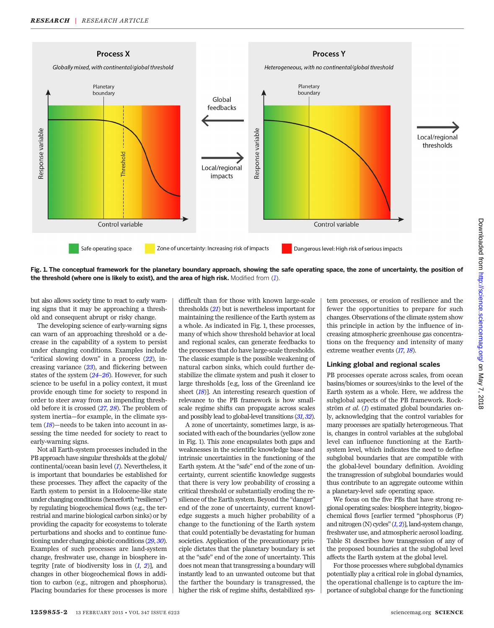

Fig. 1. The conceptual framework for the planetary boundary approach, showing the safe operating space, the zone of uncertainty, the position of the threshold (where one is likely to exist), and the area of high risk. Modified from ([1](#page-9-0)).

but also allows society time to react to early warning signs that it may be approaching a threshold and consequent abrupt or risky change.

The developing science of early-warning signs can warn of an approaching threshold or a decrease in the capability of a system to persist under changing conditions. Examples include "critical slowing down" in a process  $(22)$  $(22)$  $(22)$ , increasing variance ([23](#page-9-0)), and flickering between states of the system ([24](#page-9-0)–[26](#page-9-0)). However, for such science to be useful in a policy context, it must provide enough time for society to respond in order to steer away from an impending threshold before it is crossed ([27](#page-9-0), [28](#page-9-0)). The problem of system inertia—for example, in the climate system  $(18)$  $(18)$  $(18)$ —needs to be taken into account in assessing the time needed for society to react to early-warning signs.

Not all Earth-system processes included in the PB approach have singular thresholds at the global/ continental/ocean basin level (*I*). Nevertheless, it is important that boundaries be established for these processes. They affect the capacity of the Earth system to persist in a Holocene-like state under changing conditions (henceforth "resilience") by regulating biogeochemical flows (e.g., the terrestrial and marine biological carbon sinks) or by providing the capacity for ecosystems to tolerate perturbations and shocks and to continue functioning under changing abiotic conditions ([29](#page-9-0), [30](#page-9-0)). Examples of such processes are land-system change, freshwater use, change in biosphere integrity [rate of biodiversity loss in  $(I, 2)$  $(I, 2)$  $(I, 2)$ ], and changes in other biogeochemical flows in addition to carbon (e.g., nitrogen and phosphorus). Placing boundaries for these processes is more

difficult than for those with known large-scale thresholds ([21](#page-9-0)) but is nevertheless important for maintaining the resilience of the Earth system as a whole. As indicated in Fig. 1, these processes, many of which show threshold behavior at local and regional scales, can generate feedbacks to the processes that do have large-scale thresholds. The classic example is the possible weakening of natural carbon sinks, which could further destabilize the climate system and push it closer to large thresholds [e.g, loss of the Greenland ice sheet  $(18)$  $(18)$  $(18)$ ]. An interesting research question of relevance to the PB framework is how smallscale regime shifts can propagate across scales and possibly lead to global-level transitions ([31](#page-9-0), [32](#page-9-0)).

A zone of uncertainty, sometimes large, is associated with each of the boundaries (yellow zone in Fig. 1). This zone encapsulates both gaps and weaknesses in the scientific knowledge base and intrinsic uncertainties in the functioning of the Earth system. At the "safe" end of the zone of uncertainty, current scientific knowledge suggests that there is very low probability of crossing a critical threshold or substantially eroding the resilience of the Earth system. Beyond the "danger" end of the zone of uncertainty, current knowledge suggests a much higher probability of a change to the functioning of the Earth system that could potentially be devastating for human societies. Application of the precautionary principle dictates that the planetary boundary is set at the "safe" end of the zone of uncertainty. This does not mean that transgressing a boundary will instantly lead to an unwanted outcome but that the farther the boundary is transgressed, the higher the risk of regime shifts, destabilized sys-

tem processes, or erosion of resilience and the fewer the opportunities to prepare for such changes. Observations of the climate system show this principle in action by the influence of increasing atmospheric greenhouse gas concentrations on the frequency and intensity of many extreme weather events ([17](#page-9-0), [18](#page-9-0)).

#### Linking global and regional scales

PB processes operate across scales, from ocean basins/biomes or sources/sinks to the level of the Earth system as a whole. Here, we address the subglobal aspects of the PB framework. Rockström et al. ([1](#page-9-0)) estimated global boundaries only, acknowledging that the control variables for many processes are spatially heterogeneous. That is, changes in control variables at the subglobal level can influence functioning at the Earthsystem level, which indicates the need to define subglobal boundaries that are compatible with the global-level boundary definition. Avoiding the transgression of subglobal boundaries would thus contribute to an aggregate outcome within a planetary-level safe operating space.

We focus on the five PBs that have strong regional operating scales: biosphere integrity, biogeochemical flows [earlier termed "phosphorus (P) and nitrogen  $(N)$  cycles" $(I, 2)$  $(I, 2)$  $(I, 2)$ ], land-system change, freshwater use, and atmospheric aerosol loading. Table S1 describes how transgression of any of the proposed boundaries at the subglobal level affects the Earth system at the global level.

For those processes where subglobal dynamics potentially play a critical role in global dynamics, the operational challenge is to capture the importance of subglobal change for the functioning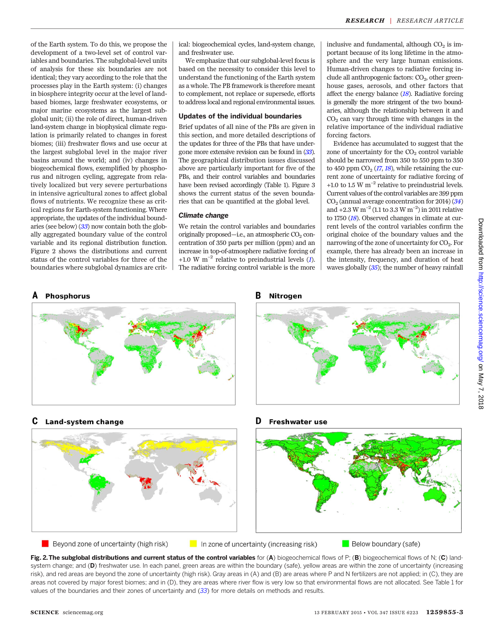of the Earth system. To do this, we propose the development of a two-level set of control variables and boundaries. The subglobal-level units of analysis for these six boundaries are not identical; they vary according to the role that the processes play in the Earth system: (i) changes in biosphere integrity occur at the level of landbased biomes, large freshwater ecosystems, or major marine ecosystems as the largest subglobal unit; (ii) the role of direct, human-driven land-system change in biophysical climate regulation is primarily related to changes in forest biomes; (iii) freshwater flows and use occur at the largest subglobal level in the major river basins around the world; and (iv) changes in biogeochemical flows, exemplified by phosphorus and nitrogen cycling, aggregate from relatively localized but very severe perturbations in intensive agricultural zones to affect global flows of nutrients. We recognize these as critical regions for Earth-system functioning. Where appropriate, the updates of the individual boundaries (see below)  $(33)$  $(33)$  $(33)$  now contain both the globally aggregated boundary value of the control variable and its regional distribution function. Figure 2 shows the distributions and current status of the control variables for three of the boundaries where subglobal dynamics are critical: biogeochemical cycles, land-system change, and freshwater use.

We emphasize that our subglobal-level focus is based on the necessity to consider this level to understand the functioning of the Earth system as a whole. The PB framework is therefore meant to complement, not replace or supersede, efforts to address local and regional environmental issues.

#### Updates of the individual boundaries

Brief updates of all nine of the PBs are given in this section, and more detailed descriptions of the updates for three of the PBs that have undergone more extensive revision can be found in ([33](#page-9-0)). The geographical distribution issues discussed above are particularly important for five of the PBs, and their control variables and boundaries have been revised accordingly (Table 1). Figure 3 shows the current status of the seven boundaries that can be quantified at the global level.

#### Climate change

We retain the control variables and boundaries originally proposed—i.e., an atmospheric  $CO<sub>2</sub>$  concentration of 350 parts per million (ppm) and an increase in top-of-atmosphere radiative forcing of +[1](#page-9-0).0 W  $m^{-2}$  relative to preindustrial levels (1). The radiative forcing control variable is the more

inclusive and fundamental, although  $CO<sub>2</sub>$  is important because of its long lifetime in the atmosphere and the very large human emissions. Human-driven changes to radiative forcing include all anthropogenic factors:  $CO<sub>2</sub>$ , other greenhouse gases, aerosols, and other factors that affect the energy balance  $(18)$  $(18)$  $(18)$ . Radiative forcing is generally the more stringent of the two boundaries, although the relationship between it and  $CO<sub>2</sub>$  can vary through time with changes in the relative importance of the individual radiative forcing factors.

Evidence has accumulated to suggest that the zone of uncertainty for the  $CO<sub>2</sub>$  control variable should be narrowed from 350 to 550 ppm to 350 to 450 ppm  $CO<sub>2</sub>$  ([17](#page-9-0), [18](#page-9-0)), while retaining the current zone of uncertainty for radiative forcing of +1.0 to 1.5 W  $\mathrm{m}^{-2}$  relative to preindustrial levels. Current values of the control variables are 399 ppm  $CO<sub>2</sub>$  (annual average concentration for 2014) ([34](#page-9-0)) and +2.3 W  $\mathrm{m}^{-2}$  (1.1 to 3.3 W  $\mathrm{m}^{-2})$  in 2011 relative to 1750 ([18](#page-9-0)). Observed changes in climate at current levels of the control variables confirm the original choice of the boundary values and the narrowing of the zone of uncertainty for  $CO<sub>2</sub>$ . For example, there has already been an increase in the intensity, frequency, and duration of heat waves globally ([35](#page-9-0)); the number of heavy rainfall

#### **Phosphorus** A



#### B **Nitrogen**



**Land-system change** C



D

**Freshwater use** 

Fig. 2. The subglobal distributions and current status of the control variables for (A) biogeochemical flows of P; (B) biogeochemical flows of N; (C) landsystem change; and (D) freshwater use. In each panel, green areas are within the boundary (safe), yellow areas are within the zone of uncertainty (increasing risk), and red areas are beyond the zone of uncertainty (high risk). Gray areas in (A) and (B) are areas where P and N fertilizers are not applied; in (C), they are areas not covered by major forest biomes; and in (D), they are areas where river flow is very low so that environmental flows are not allocated. See Table 1 for values of the boundaries and their zones of uncertainty and ([33](#page-9-0)) for more details on methods and results.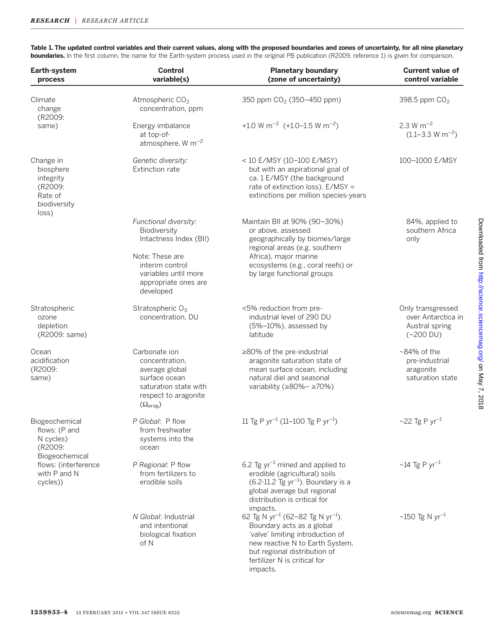Earth-system process Control variable(s) Planetary boundary (zone of uncertainty) Current value of control variable Climate change (R2009: same) Atmospheric CO<sub>2</sub> concentration, ppm Energy imbalance at top-ofatmosphere, W m–<sup>2</sup>  $350$  ppm  $CO<sub>2</sub>$  (350–450 ppm) +1.0 W m<sup>-2</sup> (+1.0-1.5 W m<sup>-2</sup>) 398.5 ppm  $CO<sub>2</sub>$  $2.3 W m<sup>-2</sup>$  $(1.1 - 3.3 \text{ W m}^{-2})$ Change in biosphere integrity (R2009: Rate of biodiversity loss) Genetic diversity: Extinction rate Functional diversity: **Biodiversity** Intactness Index (BII) Note: These are interim control variables until more appropriate ones are developed < 10 E/MSY (10–100 E/MSY) but with an aspirational goal of ca. 1 E/MSY (the background rate of extinction loss). E/MSY = extinctions per million species-years Maintain BII at 90% (90–30%) or above, assessed geographically by biomes/large regional areas (e.g. southern Africa), major marine ecosystems (e.g., coral reefs) or by large functional groups 100–1000 E/MSY 84%, applied to southern Africa only **Stratospheric** ozone depletion (R2009: same) Stratospheric  $O<sub>3</sub>$ concentration, DU <5% reduction from preindustrial level of 290 DU (5%–10%), assessed by latitude Only transgressed over Antarctica in Austral spring (~200 DU) Ocean acidification (R2009: same) Carbonate ion concentration, average global surface ocean saturation state with respect to aragonite  $(\Omega_{\text{drag}})$ ≥80% of the pre-industrial aragonite saturation state of mean surface ocean, including natural diel and seasonal variability (≥80%– ≥70%) ~84% of the pre-industrial aragonite saturation state Biogeochemical flows: (P and N cycles) (R2009: Biogeochemical flows: (interference with P and N cycles)) P Global: P flow from freshwater systems into the ocean P Regional: P flow from fertilizers to erodible soils N Global: Industrial and intentional biological fixation of N 11 Tg P yr<sup>-1</sup> (11–100 Tg P yr<sup>-1</sup>) 6.2 Tg  $yr^{-1}$  mined and applied to erodible (agricultural) soils  $(6.2\n-11.2 \text{ Tg yr}^{-1})$ . Boundary is a global average but regional distribution is critical for impacts. 62 Tg N yr<sup>-1</sup> (62–82 Tg N yr<sup>-1</sup>). Boundary acts as a global 'valve' limiting introduction of new reactive N to Earth System, but regional distribution of fertilizer N is critical for  $-22$  Tg P yr<sup>-1</sup>  $\sim$ 14 Tg P vr $^{-1}$  $~150$  Tg N  $\text{vr}^{-1}$ 

impacts.

Table 1. The updated control variables and their current values, along with the proposed boundaries and zones of uncertainty, for all nine planetary **boundaries.** In the first column, the name for the Earth-system process used in the original PB publication (R2009, reference 1) is given for comparison.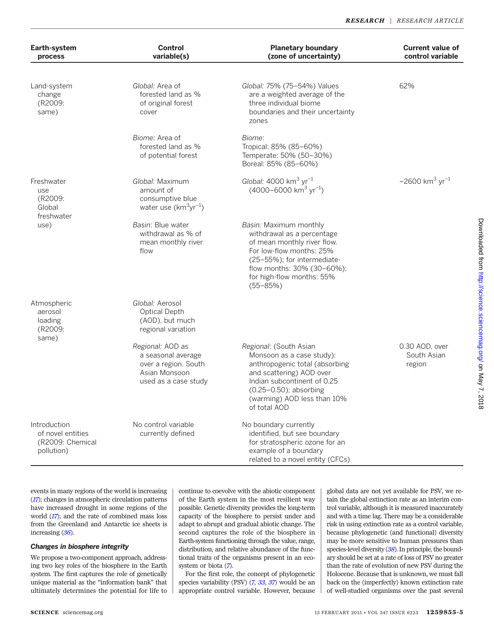| Earth-system<br>process                                             | <b>Control</b><br>variable(s)                                                                           | <b>Planetary boundary</b><br>(zone of uncertainty)                                                                                                                                                                             | <b>Current value of</b><br>control variable  |
|---------------------------------------------------------------------|---------------------------------------------------------------------------------------------------------|--------------------------------------------------------------------------------------------------------------------------------------------------------------------------------------------------------------------------------|----------------------------------------------|
| Land-system<br>change<br>(R2009:<br>same)                           | Global: Area of<br>forested land as %<br>of original forest<br>cover                                    | Global: 75% (75-54%) Values<br>are a weighted average of the<br>three individual biome<br>boundaries and their uncertainty<br>zones                                                                                            | 62%                                          |
|                                                                     | Biome: Area of<br>forested land as %<br>of potential forest                                             | Biome:<br>Tropical: 85% (85-60%)<br>Temperate: 50% (50-30%)<br>Boreal: 85% (85-60%)                                                                                                                                            |                                              |
| Freshwater<br>use<br>(R2009:<br>Global<br>freshwater<br>use)        | Global: Maximum<br>amount of<br>consumptive blue<br>water use $(km^3yr^{-1})$                           | Global: 4000 $km^3 yr^{-1}$<br>$(4000 - 6000 \text{ km}^3 \text{ yr}^{-1})$                                                                                                                                                    | $\sim$ 2600 km <sup>3</sup> yr <sup>-1</sup> |
|                                                                     | Basin: Blue water<br>withdrawal as % of<br>mean monthly river<br>flow                                   | Basin: Maximum monthly<br>withdrawal as a percentage<br>of mean monthly river flow.<br>For low-flow months: 25%<br>(25-55%); for intermediate-<br>flow months: 30% (30-60%);<br>for high-flow months: 55%<br>$(55 - 85%)$      |                                              |
| Atmospheric<br>aerosol<br>loading<br>(R2009:<br>same)               | Global: Aerosol<br><b>Optical Depth</b><br>(AOD), but much<br>regional variation                        |                                                                                                                                                                                                                                |                                              |
|                                                                     | Regional: AOD as<br>a seasonal average<br>over a region. South<br>Asian Monsoon<br>used as a case study | Regional: (South Asian<br>Monsoon as a case study):<br>anthropogenic total (absorbing<br>and scattering) AOD over<br>Indian subcontinent of 0.25<br>$(0.25 - 0.50)$ ; absorbing<br>(warming) AOD less than 10%<br>of total AOD | 0.30 AOD, over<br>South Asian<br>region      |
| Introduction<br>of novel entities<br>(R2009: Chemical<br>pollution) | No control variable<br>currently defined                                                                | No boundary currently<br>identified, but see boundary<br>for stratospheric ozone for an<br>example of a boundary<br>related to a novel entity (CFCs)                                                                           |                                              |

events in many regions of the world is increasing ([17](#page-9-0)); changes in atmospheric circulation patterns have increased drought in some regions of the world ([17](#page-9-0)); and the rate of combined mass loss from the Greenland and Antarctic ice sheets is increasing ([36](#page-9-0)).

### Changes in biosphere integrity

We propose a two-component approach, addressing two key roles of the biosphere in the Earth system. The first captures the role of genetically unique material as the "information bank" that ultimately determines the potential for life to continue to coevolve with the abiotic component of the Earth system in the most resilient way possible. Genetic diversity provides the long-term capacity of the biosphere to persist under and adapt to abrupt and gradual abiotic change. The second captures the role of the biosphere in Earth-system functioning through the value, range, distribution, and relative abundance of the functional traits of the organisms present in an ecosystem or biota ([7](#page-9-0)).

For the first role, the concept of phylogenetic species variability (PSV)  $(7, 33, 37)$  $(7, 33, 37)$  $(7, 33, 37)$  $(7, 33, 37)$  $(7, 33, 37)$  $(7, 33, 37)$  $(7, 33, 37)$  would be an appropriate control variable. However, because global data are not yet available for PSV, we retain the global extinction rate as an interim control variable, although it is measured inaccurately and with a time lag. There may be a considerable risk in using extinction rate as a control variable, because phylogenetic (and functional) diversity may be more sensitive to human pressures than species-level diversity ([38](#page-9-0)). In principle, the boundary should be set at a rate of loss of PSV no greater than the rate of evolution of new PSV during the Holocene. Because that is unknown, we must fall back on the (imperfectly) known extinction rate of well-studied organisms over the past several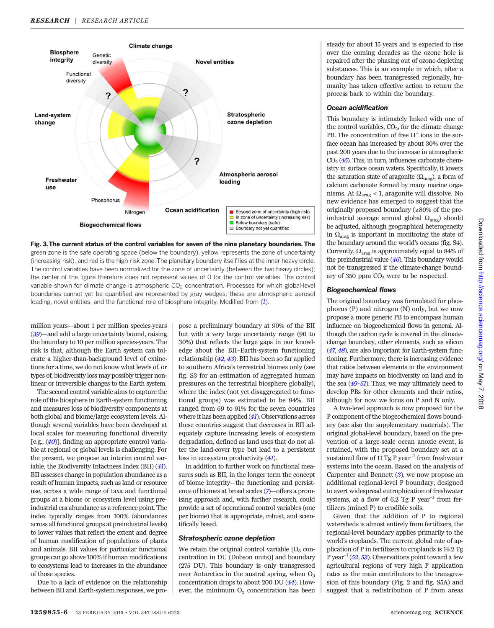

Fig. 3.The current status of the control variables for seven of the nine planetary boundaries. The green zone is the safe operating space (below the boundary), yellow represents the zone of uncertainty (increasing risk), and red is the high-risk zone. The planetary boundary itself lies at the inner heavy circle. The control variables have been normalized for the zone of uncertainty (between the two heavy circles); the center of the figure therefore does not represent values of 0 for the control variables. The control variable shown for climate change is atmospheric CO<sub>2</sub> concentration. Processes for which global-level boundaries cannot yet be quantified are represented by gray wedges; these are atmospheric aerosol loading, novel entities, and the functional role of biosphere integrity. Modified from ([1](#page-9-0)).

million years—about 1 per million species-years ([39](#page-9-0))—and add a large uncertainty bound, raising the boundary to 10 per million species-years. The risk is that, although the Earth system can tolerate a higher-than-background level of extinctions for a time, we do not know what levels of, or types of, biodiversity loss may possibly trigger nonlinear or irreversible changes to the Earth system.

The second control variable aims to capture the role of the biosphere in Earth-system functioning and measures loss of biodiversity components at both global and biome/large ecosystem levels. Although several variables have been developed at local scales for measuring functional diversity [e.g., ([40](#page-9-0))], finding an appropriate control variable at regional or global levels is challenging. For the present, we propose an interim control variable, the Biodiversity Intactness Index (BII) ([41](#page-9-0)). BII assesses change in population abundance as a result of human impacts, such as land or resource use, across a wide range of taxa and functional groups at a biome or ecosystem level using preindustrial era abundance as a reference point. The index typically ranges from 100% (abundances across all functional groups at preindustrial levels) to lower values that reflect the extent and degree of human modification of populations of plants and animals. BII values for particular functional groups can go above 100% if human modifications to ecosystems lead to increases in the abundance of those species.

Due to a lack of evidence on the relationship between BII and Earth-system responses, we pro-

pose a preliminary boundary at 90% of the BII but with a very large uncertainty range (90 to 30%) that reflects the large gaps in our knowledge about the BII–Earth-system functioning relationship ([42](#page-9-0), [43](#page-9-0)). BII has been so far applied to southern Africa's terrestrial biomes only (see fig. S3 for an estimation of aggregated human pressures on the terrestrial biosphere globally), where the index (not yet disaggregated to functional groups) was estimated to be 84%. BII ranged from 69 to 91% for the seven countries where it has been applied ([41](#page-9-0)). Observations across these countries suggest that decreases in BII adequately capture increasing levels of ecosystem degradation, defined as land uses that do not alter the land-cover type but lead to a persistent loss in ecosystem productivity ([41](#page-9-0)).

In addition to further work on functional measures such as BII, in the longer term the concept of biome integrity—the functioning and persistence of biomes at broad scales ([7](#page-9-0))—offers a promising approach and, with further research, could provide a set of operational control variables (one per biome) that is appropriate, robust, and scientifically based.

#### Stratospheric ozone depletion

We retain the original control variable  $[O_3]$  concentration in DU (Dobson units)] and boundary (275 DU). This boundary is only transgressed over Antarctica in the austral spring, when  $O_3$ concentration drops to about 200 DU ([44](#page-9-0)). However, the minimum  $O_3$  concentration has been steady for about 15 years and is expected to rise over the coming decades as the ozone hole is repaired after the phasing out of ozone-depleting substances. This is an example in which, after a boundary has been transgressed regionally, humanity has taken effective action to return the process back to within the boundary.

#### Ocean acidification

This boundary is intimately linked with one of the control variables,  $CO<sub>2</sub>$ , for the climate change PB. The concentration of free H<sup>+</sup> ions in the surface ocean has increased by about 30% over the past 200 years due to the increase in atmospheric  $CO<sub>2</sub>$  ([45](#page-9-0)). This, in turn, influences carbonate chemistry in surface ocean waters. Specifically, it lowers the saturation state of aragonite  $(\Omega_{\text{arag}})$ , a form of calcium carbonate formed by many marine organisms. At $\Omega_{\mathrm{arag}}<1,$ aragonite will dissolve. No new evidence has emerged to suggest that the originally proposed boundary (≥80% of the preindustrial average annual global  $\Omega_{\text{arag}}$  should be adjusted, although geographical heterogeneity in  $\Omega_{\text{arag}}$  is important in monitoring the state of the boundary around the world's oceans (fig. S4). Currently,  $\Omega_{\text{arag}}$  is approximately equal to 84% of the preindustrial value  $(46)$  $(46)$  $(46)$ . This boundary would not be transgressed if the climate-change boundary of  $350$  ppm  $CO<sub>2</sub>$  were to be respected.

#### Biogeochemical flows

The original boundary was formulated for phosphorus (P) and nitrogen (N) only, but we now propose a more generic PB to encompass human influence on biogeochemical flows in general. Although the carbon cycle is covered in the climatechange boundary, other elements, such as silicon ([47](#page-9-0), [48](#page-10-0)), are also important for Earth-system functioning. Furthermore, there is increasing evidence that ratios between elements in the environment may have impacts on biodiversity on land and in the sea ([49](#page-10-0)–[51](#page-10-0)). Thus, we may ultimately need to develop PBs for other elements and their ratios, although for now we focus on P and N only.

A two-level approach is now proposed for the P component of the biogeochemical flows boundary (see also the supplementary materials). The original global-level boundary, based on the prevention of a large-scale ocean anoxic event, is retained, with the proposed boundary set at a sustained flow of 11 Tg P year<sup>-1</sup> from freshwater systems into the ocean. Based on the analysis of Carpenter and Bennett  $(3)$  $(3)$  $(3)$ , we now propose an additional regional-level P boundary, designed to avert widespread eutrophication of freshwater systems, at a flow of 6.2 Tg P year<sup>-1</sup> from fertilizers (mined P) to erodible soils.

Given that the addition of P to regional watersheds is almost entirely from fertilizers, the regional-level boundary applies primarily to the world's croplands. The current global rate of application of P in fertilizers to croplands is 14.2 Tg P year<sup>-1</sup> ([52](#page-10-0), [53](#page-10-0)). Observations point toward a few agricultural regions of very high P application rates as the main contributors to the transgression of this boundary (Fig. 2 and fig. S5A) and suggest that a redistribution of P from areas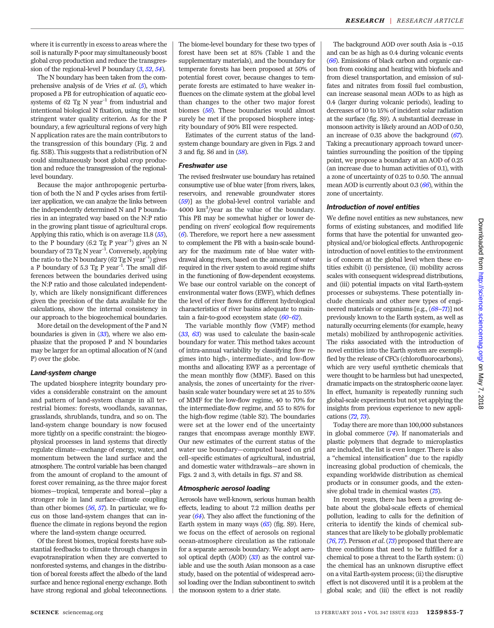The N boundary has been taken from the comprehensive analysis of de Vries  $et \, al. \, (5)$  $et \, al. \, (5)$  $et \, al. \, (5)$ , which proposed a PB for eutrophication of aquatic ecosystems of 62 Tg N year<sup>-1</sup> from industrial and intentional biological N fixation, using the most stringent water quality criterion. As for the P boundary, a few agricultural regions of very high N application rates are the main contributors to the transgression of this boundary (Fig. 2 and fig. S5B). This suggests that a redistribution of N could simultaneously boost global crop production and reduce the transgression of the regionallevel boundary.

Because the major anthropogenic perturbation of both the N and P cycles arises from fertilizer application, we can analyze the links between the independently determined N and P boundaries in an integrated way based on the N:P ratio in the growing plant tissue of agricultural crops. Applying this ratio, which is on average 11.8 ([55](#page-10-0)), to the P boundary  $(6.2 \text{ Tg P year}^{-1})$  gives an N boundary of 73 Tg N year–<sup>1</sup> . Conversely, applying the ratio to the N boundary  $(62 \text{ Tg N year}^{-1})$  gives a P boundary of 5.3 Tg P year<sup>-1</sup>. The small differences between the boundaries derived using the N:P ratio and those calculated independently, which are likely nonsignificant differences given the precision of the data available for the calculations, show the internal consistency in our approach to the biogeochemical boundaries.

More detail on the development of the P and N boundaries is given in  $(33)$  $(33)$  $(33)$ , where we also emphasize that the proposed P and N boundaries may be larger for an optimal allocation of N (and P) over the globe.

#### Land-system change

The updated biosphere integrity boundary provides a considerable constraint on the amount and pattern of land-system change in all terrestrial biomes: forests, woodlands, savannas, grasslands, shrublands, tundra, and so on. The land-system change boundary is now focused more tightly on a specific constraint: the biogeophysical processes in land systems that directly regulate climate—exchange of energy, water, and momentum between the land surface and the atmosphere. The control variable has been changed from the amount of cropland to the amount of forest cover remaining, as the three major forest biomes—tropical, temperate and boreal—play a stronger role in land surface–climate coupling than other biomes  $(56, 57)$  $(56, 57)$  $(56, 57)$  $(56, 57)$  $(56, 57)$ . In particular, we focus on those land-system changes that can influence the climate in regions beyond the region where the land-system change occurred.

Of the forest biomes, tropical forests have substantial feedbacks to climate through changes in evapotranspiration when they are converted to nonforested systems, and changes in the distribution of boreal forests affect the albedo of the land surface and hence regional energy exchange. Both have strong regional and global teleconnections.

The biome-level boundary for these two types of forest have been set at 85% (Table 1 and the supplementary materials), and the boundary for temperate forests has been proposed at 50% of potential forest cover, because changes to temperate forests are estimated to have weaker influences on the climate system at the global level than changes to the other two major forest biomes ([56](#page-10-0)). These boundaries would almost surely be met if the proposed biosphere integrity boundary of 90% BII were respected.

Estimates of the current status of the landsystem change boundary are given in Figs. 2 and 3 and fig. S6 and in ([58](#page-10-0)).

#### Freshwater use

The revised freshwater use boundary has retained consumptive use of blue water [from rivers, lakes, reservoirs, and renewable groundwater stores ([59](#page-10-0))] as the global-level control variable and 4000 km3 /year as the value of the boundary. This PB may be somewhat higher or lower depending on rivers' ecological flow requirements  $(6)$  $(6)$  $(6)$ . Therefore, we report here a new assessment to complement the PB with a basin-scale boundary for the maximum rate of blue water withdrawal along rivers, based on the amount of water required in the river system to avoid regime shifts in the functioning of flow-dependent ecosystems. We base our control variable on the concept of environmental water flows (EWF), which defines the level of river flows for different hydrological characteristics of river basins adequate to maintain a fair-to-good ecosystem state  $(60-62)$  $(60-62)$  $(60-62)$  $(60-62)$  $(60-62)$ .

The variable monthly flow (VMF) method ([33](#page-9-0), [63](#page-10-0)) was used to calculate the basin-scale boundary for water. This method takes account of intra-annual variability by classifying flow regimes into high-, intermediate-, and low-flow months and allocating EWF as a percentage of the mean monthly flow (MMF). Based on this analysis, the zones of uncertainty for the riverbasin scale water boundary were set at 25 to 55% of MMF for the low-flow regime, 40 to 70% for the intermediate-flow regime, and 55 to 85% for the high-flow regime (table S2). The boundaries were set at the lower end of the uncertainty ranges that encompass average monthly EWF. Our new estimates of the current status of the water use boundary—computed based on grid cell–specific estimates of agricultural, industrial, and domestic water withdrawals—are shown in Figs. 2 and 3, with details in figs. S7 and S8.

#### Atmospheric aerosol loading

Aerosols have well-known, serious human health effects, leading to about 7.2 million deaths per year  $(64)$  $(64)$  $(64)$ . They also affect the functioning of the Earth system in many ways  $(65)$  $(65)$  $(65)$  (fig. S9). Here, we focus on the effect of aerosols on regional ocean-atmosphere circulation as the rationale for a separate aerosols boundary. We adopt aerosol optical depth (AOD) ([33](#page-9-0)) as the control variable and use the south Asian monsoon as a case study, based on the potential of widespread aerosol loading over the Indian subcontinent to switch the monsoon system to a drier state.

The background AOD over south Asia is ~0.15 and can be as high as 0.4 during volcanic events ([66](#page-10-0)). Emissions of black carbon and organic carbon from cooking and heating with biofuels and from diesel transportation, and emission of sulfates and nitrates from fossil fuel combustion, can increase seasonal mean AODs to as high as 0.4 (larger during volcanic periods), leading to decreases of 10 to 15% of incident solar radiation at the surface (fig. S9). A substantial decrease in monsoon activity is likely around an AOD of 0.50, an increase of 0.35 above the background ([67](#page-10-0)). Taking a precautionary approach toward uncertainties surrounding the position of the tipping point, we propose a boundary at an AOD of 0.25 (an increase due to human activities of 0.1), with a zone of uncertainty of 0.25 to 0.50. The annual mean AOD is currently about  $0.3$  ( $66$ ), within the zone of uncertainty.

#### Introduction of novel entities

We define novel entities as new substances, new forms of existing substances, and modified life forms that have the potential for unwanted geophysical and/or biological effects. Anthropogenic introduction of novel entities to the environment is of concern at the global level when these entities exhibit (i) persistence, (ii) mobility across scales with consequent widespread distributions, and (iii) potential impacts on vital Earth-system processes or subsystems. These potentially include chemicals and other new types of engineered materials or organisms [e.g., ([68](#page-10-0)–[71](#page-10-0))] not previously known to the Earth system, as well as naturally occurring elements (for example, heavy metals) mobilized by anthropogenic activities. The risks associated with the introduction of novel entities into the Earth system are exemplified by the release of CFCs (chlorofluorocarbons), which are very useful synthetic chemicals that were thought to be harmless but had unexpected, dramatic impacts on the stratospheric ozone layer. In effect, humanity is repeatedly running such global-scale experiments but not yet applying the insights from previous experience to new applications ([72](#page-10-0), [73](#page-10-0)).

Today there are more than 100,000 substances in global commerce ([74](#page-10-0)). If nanomaterials and plastic polymers that degrade to microplastics are included, the list is even longer. There is also a "chemical intensification" due to the rapidly increasing global production of chemicals, the expanding worldwide distribution as chemical products or in consumer goods, and the extensive global trade in chemical wastes ([75](#page-10-0)).

In recent years, there has been a growing debate about the global-scale effects of chemical pollution, leading to calls for the definition of criteria to identify the kinds of chemical substances that are likely to be globally problematic  $(76, 77)$  $(76, 77)$  $(76, 77)$  $(76, 77)$  $(76, 77)$ . Persson *et al.*  $(73)$  $(73)$  $(73)$  proposed that there are three conditions that need to be fulfilled for a chemical to pose a threat to the Earth system: (i) the chemical has an unknown disruptive effect on a vital Earth-system process; (ii) the disruptive effect is not discovered until it is a problem at the global scale; and (iii) the effect is not readily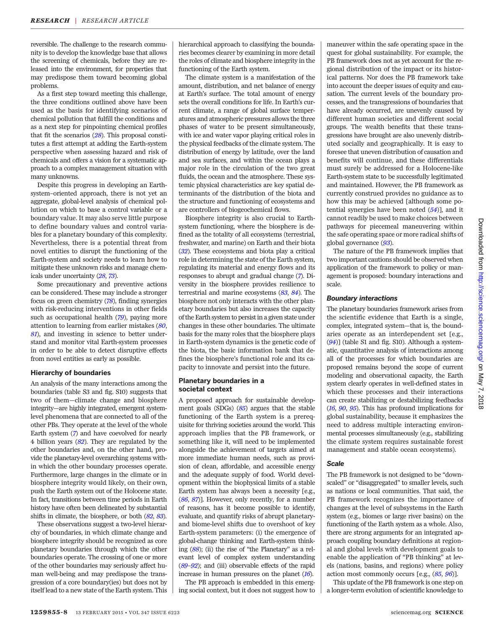reversible. The challenge to the research community is to develop the knowledge base that allows the screening of chemicals, before they are released into the environment, for properties that may predispose them toward becoming global problems.

As a first step toward meeting this challenge, the three conditions outlined above have been used as the basis for identifying scenarios of chemical pollution that fulfill the conditions and as a next step for pinpointing chemical profiles that fit the scenarios ([28](#page-9-0)). This proposal constitutes a first attempt at adding the Earth-system perspective when assessing hazard and risk of chemicals and offers a vision for a systematic approach to a complex management situation with many unknowns.

Despite this progress in developing an Earthsystem–oriented approach, there is not yet an aggregate, global-level analysis of chemical pollution on which to base a control variable or a boundary value. It may also serve little purpose to define boundary values and control variables for a planetary boundary of this complexity. Nevertheless, there is a potential threat from novel entities to disrupt the functioning of the Earth-system and society needs to learn how to mitigate these unknown risks and manage chemicals under uncertainty ([28](#page-9-0), [73](#page-10-0)).

Some precautionary and preventive actions can be considered. These may include a stronger focus on green chemistry ([78](#page-10-0)), finding synergies with risk-reducing interventions in other fields such as occupational health  $(79)$  $(79)$  $(79)$ , paying more attention to learning from earlier mistakes  $(80, 80)$  $(80, 80)$  $(80, 80)$ [81](#page-10-0)), and investing in science to better understand and monitor vital Earth-system processes in order to be able to detect disruptive effects from novel entities as early as possible.

#### Hierarchy of boundaries

An analysis of the many interactions among the boundaries (table S3 and fig. S10) suggests that two of them—climate change and biosphere integrity—are highly integrated, emergent systemlevel phenomena that are connected to all of the other PBs. They operate at the level of the whole Earth system ([7](#page-9-0)) and have coevolved for nearly 4 billion years ([82](#page-10-0)). They are regulated by the other boundaries and, on the other hand, provide the planetary-level overarching systems within which the other boundary processes operate. Furthermore, large changes in the climate or in biosphere integrity would likely, on their own, push the Earth system out of the Holocene state. In fact, transitions between time periods in Earth history have often been delineated by substantial shifts in climate, the biosphere, or both  $(82, 83)$  $(82, 83)$  $(82, 83)$  $(82, 83)$  $(82, 83)$ .

These observations suggest a two-level hierarchy of boundaries, in which climate change and biosphere integrity should be recognized as core planetary boundaries through which the other boundaries operate. The crossing of one or more of the other boundaries may seriously affect human well-being and may predispose the transgression of a core boundary(ies) but does not by itself lead to a new state of the Earth system. This hierarchical approach to classifying the boundaries becomes clearer by examining in more detail the roles of climate and biosphere integrity in the functioning of the Earth system.

The climate system is a manifestation of the amount, distribution, and net balance of energy at Earth's surface. The total amount of energy sets the overall conditions for life. In Earth's current climate, a range of global surface temperatures and atmospheric pressures allows the three phases of water to be present simultaneously, with ice and water vapor playing critical roles in the physical feedbacks of the climate system. The distribution of energy by latitude, over the land and sea surfaces, and within the ocean plays a major role in the circulation of the two great fluids, the ocean and the atmosphere. These systemic physical characteristics are key spatial determinants of the distribution of the biota and the structure and functioning of ecosystems and are controllers of biogeochemical flows.

Biosphere integrity is also crucial to Earthsystem functioning, where the biosphere is defined as the totality of all ecosystems (terrestrial, freshwater, and marine) on Earth and their biota ([32](#page-9-0)). These ecosystems and biota play a critical role in determining the state of the Earth system, regulating its material and energy flows and its responses to abrupt and gradual change ([7](#page-9-0)). Diversity in the biosphere provides resilience to terrestrial and marine ecosystems ([83](#page-10-0), [84](#page-10-0)). The biosphere not only interacts with the other planetary boundaries but also increases the capacity of the Earth system to persist in a given state under changes in these other boundaries. The ultimate basis for the many roles that the biosphere plays in Earth-system dynamics is the genetic code of the biota, the basic information bank that defines the biosphere's functional role and its capacity to innovate and persist into the future.

#### Planetary boundaries in a societal context

A proposed approach for sustainable development goals (SDGs)  $(85)$  $(85)$  $(85)$  argues that the stable functioning of the Earth system is a prerequisite for thriving societies around the world. This approach implies that the PB framework, or something like it, will need to be implemented alongside the achievement of targets aimed at more immediate human needs, such as provision of clean, affordable, and accessible energy and the adequate supply of food. World development within the biophysical limits of a stable Earth system has always been a necessity [e.g., ([86](#page-10-0), [87](#page-10-0))]. However, only recently, for a number of reasons, has it become possible to identify, evaluate, and quantify risks of abrupt planetaryand biome-level shifts due to overshoot of key Earth-system parameters: (i) the emergence of global-change thinking and Earth-system thinking ([88](#page-10-0)); (ii) the rise of "the Planetary" as a relevant level of complex system understanding ([89](#page-10-0)–[92](#page-10-0)); and (iii) observable effects of the rapid increase in human pressures on the planet  $(16)$  $(16)$  $(16)$ .

The PB approach is embedded in this emerging social context, but it does not suggest how to maneuver within the safe operating space in the quest for global sustainability. For example, the PB framework does not as yet account for the regional distribution of the impact or its historical patterns. Nor does the PB framework take into account the deeper issues of equity and causation. The current levels of the boundary processes, and the transgressions of boundaries that have already occurred, are unevenly caused by different human societies and different social groups. The wealth benefits that these transgressions have brought are also unevenly distributed socially and geographically. It is easy to foresee that uneven distribution of causation and benefits will continue, and these differentials must surely be addressed for a Holocene-like Earth-system state to be successfully legitimated and maintained. However, the PB framework as currently construed provides no guidance as to how this may be achieved [although some potential synergies have been noted  $(54)$  $(54)$  $(54)$ ], and it cannot readily be used to make choices between pathways for piecemeal maneuvering within the safe operating space or more radical shifts of global governance ([93](#page-10-0)).

The nature of the PB framework implies that two important cautions should be observed when application of the framework to policy or management is proposed: boundary interactions and scale.

#### Boundary interactions

The planetary boundaries framework arises from the scientific evidence that Earth is a single, complex, integrated system—that is, the boundaries operate as an interdependent set [e.g., ([94](#page-10-0))] (table S1 and fig. S10). Although a systematic, quantitative analysis of interactions among all of the processes for which boundaries are proposed remains beyond the scope of current modeling and observational capacity, the Earth system clearly operates in well-defined states in which these processes and their interactions can create stabilizing or destabilizing feedbacks ([16](#page-9-0), [90](#page-10-0), [95](#page-10-0)). This has profound implications for global sustainability, because it emphasizes the need to address multiple interacting environmental processes simultaneously (e.g., stabilizing the climate system requires sustainable forest management and stable ocean ecosystems).

#### Scale

The PB framework is not designed to be "downscaled" or "disaggregated" to smaller levels, such as nations or local communities. That said, the PB framework recognizes the importance of changes at the level of subsystems in the Earth system (e.g., biomes or large river basins) on the functioning of the Earth system as a whole. Also, there are strong arguments for an integrated approach coupling boundary definitions at regional and global levels with development goals to enable the application of "PB thinking" at levels (nations, basins, and regions) where policy action most commonly occurs [e.g., ([85](#page-10-0), [96](#page-10-0))].

This update of the PB framework is one step on a longer-term evolution of scientific knowledge to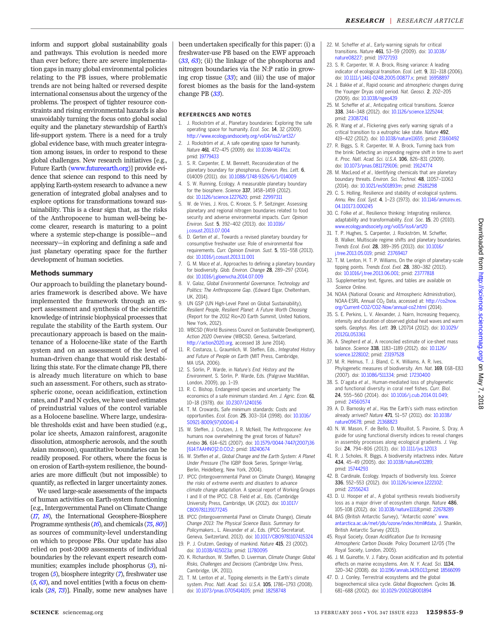<span id="page-9-0"></span>inform and support global sustainability goals and pathways. This evolution is needed more than ever before; there are severe implementation gaps in many global environmental policies relating to the PB issues, where problematic trends are not being halted or reversed despite international consensus about the urgency of the problems. The prospect of tighter resource constraints and rising environmental hazards is also unavoidably turning the focus onto global social equity and the planetary stewardship of Earth's life-support system. There is a need for a truly global evidence base, with much greater integration among issues, in order to respond to these global challenges. New research initiatives [e.g., Future Earth [\(www.futureearth.org](http://www.futureearth.org))] provide evidence that science can respond to this need by applying Earth-system research to advance a new generation of integrated global analyses and to explore options for transformations toward sustainability. This is a clear sign that, as the risks of the Anthropocene to human well-being become clearer, research is maturing to a point where a systemic step-change is possible—and necessary—in exploring and defining a safe and just planetary operating space for the further development of human societies.

#### Methods summary

Our approach to building the planetary boundaries framework is described above. We have implemented the framework through an expert assessment and synthesis of the scientific knowledge of intrinsic biophysical processes that regulate the stability of the Earth system. Our precautionary approach is based on the maintenance of a Holocene-like state of the Earth system and on an assessment of the level of human-driven change that would risk destabilizing this state. For the climate change PB, there is already much literature on which to base such an assessment. For others, such as stratospheric ozone, ocean acidification, extinction rates, and P and N cycles, we have used estimates of preindustrial values of the control variable as a Holocene baseline. Where large, undesirable thresholds exist and have been studied (e.g., polar ice sheets, Amazon rainforest, aragonite dissolution, atmospheric aerosols, and the south Asian monsoon), quantitative boundaries can be readily proposed. For others, where the focus is on erosion of Earth-system resilience, the boundaries are more difficult (but not impossible) to quantify, as reflected in larger uncertainty zones.

We used large-scale assessments of the impacts of human activities on Earth-system functioning [e.g., Intergovernmental Panel on Climate Change (17, 18), the International Geosphere-Biosphere Programme synthesis (16), and chemicals ([75](#page-10-0), [80](#page-10-0))] as sources of community-level understanding on which to propose PBs. Our update has also relied on post-2009 assessments of individual boundaries by the relevant expert research communities; examples include phosphorus (3), nitrogen (5), biosphere integrity (7), freshwater use  $(5, 63)$  $(5, 63)$  $(5, 63)$ , and novel entities [with a focus on chemicals (28, [73](#page-10-0))]. Finally, some new analyses have

been undertaken specifically for this paper: (i) a freshwater-use PB based on the EWF approach  $(33, 63)$  $(33, 63)$  $(33, 63)$ ; (ii) the linkage of the phosphorus and nitrogen boundaries via the N:P ratio in growing crop tissue  $(33)$ ; and (iii) the use of major forest biomes as the basis for the land-system change PB  $(33)$ .

#### REFERENCES AND NOTES

- 1. J. Rockström et al., Planetary boundaries: Exploring the safe operating space for humanity. Ecol. Soc. 14, 32 (2009). <http://www.ecologyandsociety.org/vol14/iss2/art32/>
- 2. J. Rockström et al., A safe operating space for humanity. Nature 461, 472–475 (2009). doi: [10.1038/461472a](http://dx.doi.org/10.1038/461472a); pmid: [19779433](http://www.ncbi.nlm.nih.gov/pubmed/19779433)
- 3. S. R. Carpenter, E. M. Bennett, Reconsideration of the planetary boundary for phosphorus. Environ. Res. Lett. 6, 014009 (2011). doi: [10.1088/1748-9326/6/1/014009](http://dx.doi.org/10.1088/1748-9326/6/1/014009)
- 4. S. W. Running, Ecology. A measurable planetary boundary for the biosphere. Science 337, 1458–1459 (2012). doi: [10.1126/science.1227620](http://dx.doi.org/10.1126/science.1227620); pmid: [22997311](http://www.ncbi.nlm.nih.gov/pubmed/22997311)
- 5. W. de Vries, J. Kros, C. Kroeze, S. P. Seitzinger, Assessing planetary and regional nitrogen boundaries related to food security and adverse environmental impacts. Curr. Opinion Environ. Sust. 5, 392–402 (2013). doi: [10.1016/](http://dx.doi.org/10.1016/j.cosust.2013.07.004) [j.cosust.2013.07.004](http://dx.doi.org/10.1016/j.cosust.2013.07.004)
- 6. D. Gerten et al., Towards a revised planetary boundary for consumptive freshwater use: Role of environmental flow requirements. Curr. Opinion Environ. Sust. 5, 551–558 (2013). doi: [10.1016/j.cosust.2013.11.001](http://dx.doi.org/10.1016/j.cosust.2013.11.001)
- 7. G. M. Mace et al., Approaches to defining a planetary boundary for biodiversity. Glob. Environ. Change 28, 289–297 (2014). doi: [10.1016/j.gloenvcha.2014.07.009](http://dx.doi.org/10.1016/j.gloenvcha.2014.07.009)
- 8. V. Galaz, Global Environmental Governance, Technology and Politics: The Anthropocene Gap. (Edward Elgar, Cheltenham, UK, 2014).
- 9. UN GSP (UN High-Level Panel on Global Sustainability), Resilient People, Resilient Planet: A Future Worth Choosing (Report for the 2012 Rio+20 Earth Summit, United Nations, New York, 2012).
- 10. WBCSD (World Business Council on Sustainable Development), Action 2020 Overview (WBCSD, Geneva, Switzerland, <http://action2020.org>, accessed 18 June 2014).
- 11. R. Costanza, L. Graumlich, W. Steffen, Eds., Integrated History and Future of People on Earth (MIT Press, Cambridge, MA USA, 2006).
- 12. S. Sörlin, P. Warde, in Nature*'*s End: History and the Environment, S. Sörlin, P. Warde, Eds. (Palgrave MacMillan, London, 2009), pp. 1–19.
- 13. R. C. Bishop, Endangered species and uncertainty: The economics of a safe minimum standard. Am. J. Agric. Econ. 61, 10–18 (1978). doi: [10.2307/1240156](http://dx.doi.org/10.2307/1240156)
- 14. T. M. Crowards, Safe minimum standards: Costs and opportunities. Ecol. Econ. 25, 303–314 (1998). doi: [10.1016/](http://dx.doi.org/10.1016/S0921-8009(97)00041-4) [S0921-8009\(97\)00041-4](http://dx.doi.org/10.1016/S0921-8009(97)00041-4)
- 15. W. Steffen, J. Crutzen, J. R. McNeill, The Anthropocene: Are humans now overwhelming the great forces of Nature? Ambio 36, 614–621 (2007). doi: [10.1579/0044-7447\(2007\)36](http://dx.doi.org/10.1579/0044-7447(2007)36[614:TAAHNO]2.0.CO;2) [\[614:TAAHNO\]2.0.CO;2;](http://dx.doi.org/10.1579/0044-7447(2007)36[614:TAAHNO]2.0.CO;2) pmid: [18240674](http://www.ncbi.nlm.nih.gov/pubmed/18240674)
- 16. W. Steffen et al., Global Change and the Earth System: A Planet Under Pressure (The IGBP Book Series, Springer-Verlag, Berlin, Heidelberg, New York, 2004).
- 17. IPCC (Intergovernmental Panel on Climate Change), Managing the risks of extreme events and disasters to advance climate change adaptation. A special report of Working Groups I and II of the IPCC. C.B. Field et al., Eds. (Cambridge University Press, Cambridge, UK (2012). doi: [10.1017/](http://dx.doi.org/10.1017/CBO9781139177245) [CBO9781139177245](http://dx.doi.org/10.1017/CBO9781139177245)
- 18. IPCC (Intergovernmental Panel on Climate Change), Climate Change 2013: The Physical Science Basis. Summary for Policymakers., L. Alexander et al., Eds. (IPCC Secretariat, Geneva, Switzerland, 2013). doi: [10.1017/CBO9781107415324](http://dx.doi.org/10.1017/CBO9781107415324)
- 19. P. J. Crutzen, Geology of mankind. Nature 415, 23 (2002). doi: [10.1038/415023a;](http://dx.doi.org/10.1038/415023a) pmid: [11780095](http://www.ncbi.nlm.nih.gov/pubmed/11780095)
- 20. K. Richardson, W. Steffen, D. Liverman, Climate Change: Global Risks, Challenges and Decisions (Cambridge Univ. Press, Cambridge, UK, 2011).
- 21. T. M. Lenton et al., Tipping elements in the Earth's climate system. Proc. Natl. Acad. Sci. U.S.A. 105, 1786–1793 (2008). doi: [10.1073/pnas.0705414105;](http://dx.doi.org/10.1073/pnas.0705414105) pmid: [18258748](http://www.ncbi.nlm.nih.gov/pubmed/18258748)
- 22. M. Scheffer et al., Early-warning signals for critical transitions. Nature 461, 53–59 (2009). doi: [10.1038/](http://dx.doi.org/10.1038/nature08227) [nature08227](http://dx.doi.org/10.1038/nature08227); pmid: [19727193](http://www.ncbi.nlm.nih.gov/pubmed/19727193)
- 23. S. R. Carpenter, W. A. Brock, Rising variance: A leading indicator of ecological transition. Ecol. Lett. 9, 311–318 (2006). doi: [10.1111/j.1461-0248.2005.00877.x](http://dx.doi.org/10.1111/j.1461-0248.2005.00877.x); pmid: [16958897](http://www.ncbi.nlm.nih.gov/pubmed/16958897)
- 24. J. Bakke et al., Rapid oceanic and atmospheric changes during the Younger Dryas cold period. Nat. Geosci. 2, 202–205 (2009). doi: [10.1038/ngeo439](http://dx.doi.org/10.1038/ngeo439)
- 25. M. Scheffer et al., Anticipating critical transitions. Science 338, 344–348 (2012). doi: [10.1126/science.1225244](http://dx.doi.org/10.1126/science.1225244); pmid: [23087241](http://www.ncbi.nlm.nih.gov/pubmed/23087241)
- 26. R. Wang et al., Flickering gives early warning signals of a critical transition to a eutrophic lake state. Nature 492, 419–422 (2012). doi: [10.1038/nature11655](http://dx.doi.org/10.1038/nature11655); pmid: [23160492](http://www.ncbi.nlm.nih.gov/pubmed/23160492)
- 27. R. Biggs, S. R. Carpenter, W. A. Brock, Turning back from the brink: Detecting an impending regime shift in time to avert it. Proc. Natl. Acad. Sci. U.S.A. 106, 826–831 (2009). doi: [10.1073/pnas.0811729106;](http://dx.doi.org/10.1073/pnas.0811729106) pmid: [19124774](http://www.ncbi.nlm.nih.gov/pubmed/19124774)
- 28. M. MacLeod et al., Identifying chemicals that are planetary boundary threats. Environ. Sci. Technol. 48, 11057–11063 (2014). doi: [10.1021/es501893m;](http://dx.doi.org/10.1021/es501893m) pmid: [25181298](http://www.ncbi.nlm.nih.gov/pubmed/25181298)
- 29. C. S. Holling, Resilience and stability of ecological systems. Annu. Rev. Ecol. Syst. 4, 1–23 (1973). doi: [10.1146/annurev.es.](http://dx.doi.org/10.1146/annurev.es.04.110173.000245) [04.110173.000245](http://dx.doi.org/10.1146/annurev.es.04.110173.000245)
- 30. C. Folke et al., Resilience thinking: Integrating resilience, adaptability and transformability. Ecol. Soc. 15, 20 (2010). [www.ecologyandsociety.org/vol15/iss4/art20](http://www.ecologyandsociety.org/vol15/iss4/art20)
- 31. T. P. Hughes, S. Carpenter, J. Rockström, M. Scheffer, B. Walker, Multiscale regime shifts and planetary boundaries. Trends Ecol. Evol. 28, 389–395 (2013). doi: [10.1016/](http://dx.doi.org/10.1016/j.tree.2013.05.019) [j.tree.2013.05.019](http://dx.doi.org/10.1016/j.tree.2013.05.019); pmid: [23769417](http://www.ncbi.nlm.nih.gov/pubmed/23769417)
- 32. T. M. Lenton, H. T. P. Williams, On the origin of planetary-scale tipping points. Trends Ecol. Evol. 28, 380-382 (2013). doi: [10.1016/j.tree.2013.06.001](http://dx.doi.org/10.1016/j.tree.2013.06.001); pmid: [23777818](http://www.ncbi.nlm.nih.gov/pubmed/23777818)
- 33. Supplementary text, figures, and tables are available on Science Online.
- 34. NOAA (National Oceanic and Atmospheric Administration), NOAA-ESRL Annual CO2 Data, accessed at: [http://co2now.](http://co2now.org/Current-CO2/CO2-Now/annual-co2.html) [org/Current-CO2/CO2-Now/annual-co2.html](http://co2now.org/Current-CO2/CO2-Now/annual-co2.html) (2014).
- 35. S. E. Perkins, L. V. Alexander, J. Nairn, Increasing frequency, intensity and duration of observed global heat waves and warm spells. Geophys. Res. Lett. 39, L20714 (2012). doi: [10.1029/](http://dx.doi.org/10.1029/2012GL053361) [2012GL053361](http://dx.doi.org/10.1029/2012GL053361)
- 36. A. Shepherd et al., A reconciled estimate of ice-sheet mass balance. Science 338, 1183–1189 (2012). doi: [10.1126/](http://dx.doi.org/10.1126/science.1228102) [science.1228102](http://dx.doi.org/10.1126/science.1228102); pmid: [23197528](http://www.ncbi.nlm.nih.gov/pubmed/23197528)
- 37. M. R. Helmus, T. J. Bland, C. K. Williams, A. R. Ives, Phylogenetic measures of biodiversity. Am. Nat. 169, E68–E83 (2007). doi: [10.1086/511334](http://dx.doi.org/10.1086/511334); pmid: [17230400](http://www.ncbi.nlm.nih.gov/pubmed/17230400)
- 38. S. D'agata et al., Human-mediated loss of phylogenetic and functional diversity in coral reef fishes. Curr. Biol. 24, 555–560 (2014). doi: [10.1016/j.cub.2014.01.049;](http://dx.doi.org/10.1016/j.cub.2014.01.049) pmid: [24560574](http://www.ncbi.nlm.nih.gov/pubmed/24560574)
- 39. A. D. Barnosky et al., Has the Earth's sixth mass extinction already arrived? Nature 471, 51–57 (2011). doi: [10.1038/](http://dx.doi.org/10.1038/nature09678) [nature09678;](http://dx.doi.org/10.1038/nature09678) pmid: [21368823](http://www.ncbi.nlm.nih.gov/pubmed/21368823)
- 40. N. W. Mason, F. de Bello, D. Mouillot, S. Pavoine, S. Dray, A guide for using functional diversity indices to reveal changes in assembly processes along ecological gradients. J. Veg. Sci. 24, 794-806 (2013). doi: [10.1111/jvs.12013](http://dx.doi.org/10.1111/jvs.12013)
- 41. R. J. Scholes, R. Biggs, A biodiversity intactness index. Nature 434, 45–49 (2005). doi: [10.1038/nature03289;](http://dx.doi.org/10.1038/nature03289) pmid: [15744293](http://www.ncbi.nlm.nih.gov/pubmed/15744293)
- 42. B. Cardinale, Ecology. Impacts of biodiversity loss. Science 336, 552–553 (2012). doi: [10.1126/science.1222102](http://dx.doi.org/10.1126/science.1222102); pmid: [22556243](http://www.ncbi.nlm.nih.gov/pubmed/22556243)
- 43. D. U. Hooper et al., A global synthesis reveals biodiversity loss as a major driver of ecosystem change. Nature 486, 105–108 (2012). doi: [10.1038/nature11118;](http://dx.doi.org/10.1038/nature11118)pmid: [22678289](http://www.ncbi.nlm.nih.gov/pubmed/22678289)
- 44. BAS (British Antarctic Survey), "Antarctic ozone" [www.](http://www.antarctica.ac.uk/met/jds/ozone/index.html#data) [antarctica.ac.uk/met/jds/ozone/index.html#data](http://www.antarctica.ac.uk/met/jds/ozone/index.html#data), J. Shanklin, British Antarctic Survey (2013).
- 45. Royal Society, Ocean Acidification Due to Increasing Atmospheric Carbon Dioxide. Policy Document 12/05 (The Royal Society, London, 2005).
- 46. J. M. Guinotte, V. J. Fabry, Ocean acidification and its potential effects on marine ecosystems. Ann. N. Y. Acad. Sci. 1134. 320–342 (2008). doi: [10.1196/annals.1439.013;](http://dx.doi.org/10.1196/annals.1439.013)pmid: [18566099](http://www.ncbi.nlm.nih.gov/pubmed/18566099)
- 47. D. J. Conley, Terrestrial ecosystems and the global biogeochemical silica cycle. Global Biogeochem. Cycles 16, 681–688 (2002). doi: [10.1029/2002GB001894](http://dx.doi.org/10.1029/2002GB001894)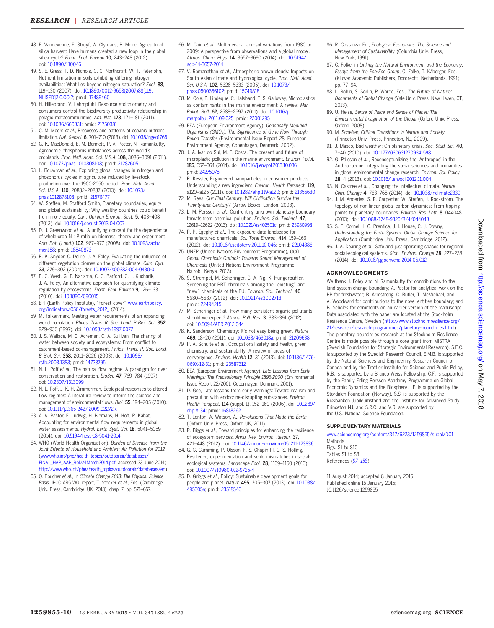- <span id="page-10-0"></span>48. F. Vandevenne, E. Struyf, W. Clymans, P. Meire, Agricultural silica harvest: Have humans created a new loop in the global silica cycle? Front. Ecol. Environ 10, 243-248 (2012). doi: [10.1890/110046](http://dx.doi.org/10.1890/110046)
- 49. S. E. Gress, T. D. Nichols, C. C. Northcraft, W. T. Peterjohn, Nutrient limitation in soils exhibiting differing nitrogen availabilities: What lies beyond nitrogen saturation? Ecol. 88, 119–130 (2007). doi: [10.1890/0012-9658\(2007\)88\[119:](http://dx.doi.org/10.1890/0012-9658(2007)88[119:NLISED]2.0.CO;2) [NLISED\]2.0.CO;2](http://dx.doi.org/10.1890/0012-9658(2007)88[119:NLISED]2.0.CO;2); pmid: [17489460](http://www.ncbi.nlm.nih.gov/pubmed/17489460)
- 50. H. Hillebrand, V. Lehmpfuhl, Resource stoichiometry and consumers control the biodiversity-productivity relationship in pelagic metacommunities. Am. Nat. 178, 171–181 (2011). doi: [10.1086/660831](http://dx.doi.org/10.1086/660831); pmid: [21750381](http://www.ncbi.nlm.nih.gov/pubmed/21750381)
- 51. C. M. Moore et al., Processes and patterns of oceanic nutrient limitation. Nat. Geosci. 6, 701-710 (2013). doi: [10.1038/ngeo1765](http://dx.doi.org/10.1038/ngeo1765)
- 52. G. K. MacDonald, E. M. Bennett, P. A. Potter, N. Ramankutty, Agronomic phosphorus imbalances across the world's croplands. Proc. Natl. Acad. Sci. U.S.A. 108, 3086–3091 (2011). doi: [10.1073/pnas.1010808108;](http://dx.doi.org/10.1073/pnas.1010808108) pmid: [21282605](http://www.ncbi.nlm.nih.gov/pubmed/21282605)
- 53. L. Bouwman et al., Exploring global changes in nitrogen and phosphorus cycles in agriculture induced by livestock production over the 1900-2050 period. Proc. Natl. Acad. Sci. U.S.A. 110, 20882-20887 (2013). doi: [10.1073/](http://dx.doi.org/10.1073/pnas.1012878108) [pnas.1012878108](http://dx.doi.org/10.1073/pnas.1012878108); pmid: [21576477](http://www.ncbi.nlm.nih.gov/pubmed/21576477)
- 54. W. Steffen, M. Stafford Smith, Planetary boundaries, equity and global sustainability: Why wealthy countries could benefit from more equity. Curr. Opinion Environ. Sust. 5, 403–408 (2013). doi: [10.1016/j.cosust.2013.04.007](http://dx.doi.org/10.1016/j.cosust.2013.04.007)
- 55. D. J. Greenwood et al., A unifying concept for the dependence of whole-crop N : P ratio on biomass: theory and experiment. Ann. Bot. (Lond.) 102, 967–977 (2008). doi: [10.1093/aob/](http://dx.doi.org/10.1093/aob/mcn188) [mcn188](http://dx.doi.org/10.1093/aob/mcn188); pmid: [18840873](http://www.ncbi.nlm.nih.gov/pubmed/18840873)
- 56. P. K. Snyder, C. Delire, J. A. Foley, Evaluating the influence of different vegetation biomes on the global climate. Clim. Dyn. 23, 279–302 (2004). doi: [10.1007/s00382-004-0430-0](http://dx.doi.org/10.1007/s00382-004-0430-0)
- 57. P. C. West, G. T. Narisma, C. C. Barford, C. J. Kucharik, J. A. Foley, An alternative approach for quantifying climate regulation by ecosystems. Front. Ecol. Environ 9, 126–133 (2010). doi: [10.1890/090015](http://dx.doi.org/10.1890/090015)
- 58. EPI (Earth Policy Institute), "Forest cover" [www.earthpolicy.](http://www.earthpolicy.org/indicators/C56/forests_2012_) [org/indicators/C56/forests\\_2012\\_](http://www.earthpolicy.org/indicators/C56/forests_2012_) (2014).
- 59. M. Falkenmark, Meeting water requirements of an expanding world population. Philos. Trans. R. Soc. Lond. B Biol. Sci. 352, 929–936 (1997). doi: [10.1098/rstb.1997.0072](http://dx.doi.org/10.1098/rstb.1997.0072)
- 60. J. S. Wallace, M. C. Acreman, C. A. Sullivan, The sharing of water between society and ecosystems: From conflict to catchment-based co-management. Philos. Trans. R. Soc. Lond. B Biol. Sci. 358, 2011–2026 (2003). doi: [10.1098/](http://dx.doi.org/10.1098/rstb.2003.1383) [rstb.2003.1383](http://dx.doi.org/10.1098/rstb.2003.1383); pmid: [14728795](http://www.ncbi.nlm.nih.gov/pubmed/14728795)
- 61. N. L. Poff et al., The natural flow regime: A paradigm for river conservation and restoration. BioSci. 47, 769–784 (1997). doi: [10.2307/1313099](http://dx.doi.org/10.2307/1313099)
- 62. N. L. Poff, J. K. H. Zimmerman, Ecological responses to altered flow regimes: A literature review to inform the science and management of environmental flows. Biol. 55, 194–205 (2010). doi: [10.1111/j.1365-2427.2009.02272.x](http://dx.doi.org/10.1111/j.1365-2427.2009.02272.x)
- 63. A. V. Pastor, F. Ludwig, H. Biemans, H. Hoff, P. Kabat, Accounting for environmental flow requirements in global water assessments. Hydrol. Earth Syst. Sci. 18, 5041-5059 (2014). doi: [10.5194/hess-18-5041-2014](http://dx.doi.org/10.5194/hess-18-5041-2014)
- 64. WHO (World Health Organization), Burden of Disease from the Joint Effects of Household and Ambient Air Pollution for 2012 ([www.who.int/phe/health\\_topics/outdoorair/databases/](http://www.who.int/phe/health_topics/outdoorair/databases/FINAL_HAP_AAP_BoD24March2014.pdf) [FINAL\\_HAP\\_AAP\\_BoD24March2014.pdf,](http://www.who.int/phe/health_topics/outdoorair/databases/FINAL_HAP_AAP_BoD24March2014.pdf) accessed 23 June 2014; [http://www.who.int/phe/health\\_topics/outdoorair/databases/en\)](http://www.who.int/phe/health_topics/outdoorair/databases/en)
- 65. O. Boucher et al., in Climate Change 2013: The Physical Science Basis. IPCC AR5 WGI report, T. Stocker et al., Eds. (Cambridge Univ. Press, Cambridge, UK, 2013), chap. 7, pp. 571–657.
- 66. M. Chin et al., Multi-decadal aerosol variations from 1980 to 2009: A perspective from observations and a global model. Atmos. Chem. Phys. 14, 3657–3690 (2014). doi: [10.5194/](http://dx.doi.org/10.5194/acp-14-3657-2014) [acp-14-3657-2014](http://dx.doi.org/10.5194/acp-14-3657-2014)
- 67. V. Ramanathan et al., Atmospheric brown clouds: Impacts on South Asian climate and hydrological cycle. Proc. Natl. Acad. Sci. U.S.A. 102, 5326–5333 (2005). doi: [10.1073/](http://dx.doi.org/10.1073/pnas.0500656102) [pnas.0500656102;](http://dx.doi.org/10.1073/pnas.0500656102) pmid: [15749818](http://www.ncbi.nlm.nih.gov/pubmed/15749818)
- 68. M. Cole, P. Lindeque, C. Halsband, T. S. Galloway, Microplastics as contaminants in the marine environment: A review. Mar. Pollut. Bull. 62, 2588–2597 (2011). doi: [10.1016/j.](http://dx.doi.org/10.1016/j.marpolbul.2011.09.025) [marpolbul.2011.09.025;](http://dx.doi.org/10.1016/j.marpolbul.2011.09.025) pmid: [22001295](http://www.ncbi.nlm.nih.gov/pubmed/22001295)
- 69. EEA (European Environment Agency), Genetically Modified Organisms (GMOs): The Significance of Gene Flow Through Pollen Transfer (Environmental Issue Report 28, European Environment Agency, Copenhagen, Denmark, 2002).
- 70. J. A. Ivar do Sul, M. F. Costa, The present and future of microplastic pollution in the marine environment. Environ. Pollut. 185, 352–364 (2014). doi: [10.1016/j.envpol.2013.10.036;](http://dx.doi.org/10.1016/j.envpol.2013.10.036) pmid: [24275078](http://www.ncbi.nlm.nih.gov/pubmed/24275078)
- 71. R. Kessler, Engineered nanoparticles in consumer products: Understanding a new ingredient. Environ. Health Perspect. 119, a120–a125 (2011). doi: [10.1289/ehp.119-a120;](http://dx.doi.org/10.1289/ehp.119-a120) pmid: [21356630](http://www.ncbi.nlm.nih.gov/pubmed/21356630)
- 72. M. Rees, Our Final Century. Will Civilisation Survive the Twenty-first Century? (Arrow Books, London, 2003).
- 73. L. M. Persson et al., Confronting unknown planetary boundary threats from chemical pollution. Environ. Sci. Technol. 47, 12619–12622 (2013). doi: [10.1021/es402501c](http://dx.doi.org/10.1021/es402501c); pmid: [23980998](http://www.ncbi.nlm.nih.gov/pubmed/23980998)
- 74. P. P. Egeghy et al., The exposure data landscape for manufactured chemicals. Sci. Total Environ. 414, 159–166 (2012). doi: [10.1016/j.scitotenv.2011.10.046;](http://dx.doi.org/10.1016/j.scitotenv.2011.10.046) pmid: [22104386](http://www.ncbi.nlm.nih.gov/pubmed/22104386)
- 75. UNEP (United Nations Environment Programme), GCO Global Chemicals Outlook: Towards Sound Management of Chemicals (United Nations Environment Programme, Nairobi, Kenya, 2013).
- 76. S. Strempel, M. Scheringer, C. A. Ng, K. Hungerbühler, Screening for PBT chemicals among the "existing" and "new" chemicals of the EU. Environ. Sci. Technol. 46, 5680–5687 (2012). doi: [10.1021/es3002713](http://dx.doi.org/10.1021/es3002713); pmid: [22494215](http://www.ncbi.nlm.nih.gov/pubmed/22494215)
- 77. M. Scheringer et al., How many persistent organic pollutants should we expect? Atmos. Poll. Res. 3, 383–391 (2012). doi: [10.5094/APR.2012.044](http://dx.doi.org/10.5094/APR.2012.044)
- 78. K. Sanderson, Chemistry: It's not easy being green. Nature 469, 18–20 (2011). doi: [10.1038/469018a;](http://dx.doi.org/10.1038/469018a) pmid: [21209638](http://www.ncbi.nlm.nih.gov/pubmed/21209638)
- 79. P. A. Schulte et al., Occupational safety and health, green chemistry, and sustainability: A review of areas of convergence. Environ. Health 12, 31 (2013). doi: [10.1186/1476-](http://dx.doi.org/10.1186/1476-069X-12-31) [069X-12-31;](http://dx.doi.org/10.1186/1476-069X-12-31) pmid: [23587312](http://www.ncbi.nlm.nih.gov/pubmed/23587312)
- 80. EEA (European Environment Agency), Late Lessons from Early Warnings: The Precautionary Principle 1896-2000 (Environmental Issue Report 22/2001, Copenhagen, Denmark, 2001).
- 81. D. Gee, Late lessons from early warnings: Toward realism and precaution with endocrine-disrupting substances. Environ. Health Perspect. 114 (suppl. 1), 152–160 (2006). doi: [10.1289/](http://dx.doi.org/10.1289/ehp.8134) [ehp.8134](http://dx.doi.org/10.1289/ehp.8134); pmid: [16818262](http://www.ncbi.nlm.nih.gov/pubmed/16818262)
- 82. T. Lenton, A. Watson, A., Revolutions That Made the Earth (Oxford Univ. Press, Oxford UK, 2011).
- 83. R. Biggs et al., Toward principles for enhancing the resilience of ecosystem services. Annu. Rev. Environ. Resour. 37, 421–448 (2012). doi: [10.1146/annurev-environ-051211-123836](http://dx.doi.org/10.1146/annurev-environ-051211-123836)
- 84. G. S. Cumming, P. Olsson, F. S. Chapin III, C. S. Holling, Resilience, experimentation and scale mismatches in socialecological systems. Landscape Ecol. 28, 1139–1150 (2013). doi: [10.1007/s10980-012-9725-4](http://dx.doi.org/10.1007/s10980-012-9725-4)
- 85. D. Griggs et al., Policy: Sustainable development goals for people and planet. Nature 495, 305–307 (2013). doi: [10.1038/](http://dx.doi.org/10.1038/495305a) [495305a;](http://dx.doi.org/10.1038/495305a) pmid: [23518546](http://www.ncbi.nlm.nih.gov/pubmed/23518546)
- 86. R. Costanza, Ed., Ecological Economics: The Science and Management of Sustainability (Columbia Univ. Press, New York, 1991).
- 87. C. Folke, in Linking the Natural Environment and the Economy: Essays from the Eco-Eco Group, C. Folke, T. Kåberger, Eds. (Kluwer Academic Publishers, Dordrecht, Netherlands, 1991), pp. 77–94.
- 88. L. Robin, S. Sörlin, P. Warde, Eds., The Future of Nature: Documents of Global Change (Yale Univ. Press, New Haven, CT, 2013).
- 89. U. Heise, Sense of Place and Sense of Planet: The Environmental Imagination of the Global (Oxford Univ. Press, Oxford, 2008).
- 90. M. Scheffer, Critical Transitions in Nature and Society (Princeton Univ. Press, Princeton, NJ, 2009).
- 91. J. Masco, Bad weather: On planetary crisis. Soc. Stud. Sci. 40, 7–40 (2010). doi: [10.1177/0306312709341598](http://dx.doi.org/10.1177/0306312709341598)
- 92. G. Pálsson et al., Reconceptualizing the 'Anthropos' in the Anthropocene: Integrating the social sciences and humanities in global environmental change research. Environ. Sci. Policy 28, 4 (2013). doi: [10.1016/j.envsci.2012.11.004](http://dx.doi.org/10.1016/j.envsci.2012.11.004)
- 93. N. Castree et al., Changing the intellectual climate. Nature Clim. Change 4, 763–768 (2014). doi: [10.1038/nclimate2339](http://dx.doi.org/10.1038/nclimate2339)
- 94. J. M. Anderies, S. R. Carpenter, W. Steffen, J. Rockström, The topology of non-linear global carbon dynamics: From tipping points to planetary boundaries. Environ. Res. Lett. 8, 044048 (2013). doi: [10.1088/1748-9326/8/4/044048](http://dx.doi.org/10.1088/1748-9326/8/4/044048)
- 95. S. E. Cornell, I. C. Prentice, J. I. House, C. J. Downy, Understanding the Earth System. Global Change Science for Application (Cambridge Univ. Press, Cambridge, 2012).
- 96. J. A. Dearing et al., Safe and just operating spaces for regional social-ecological systems. Glob. Environ. Change 28, 227–238 (2014). doi: [10.1016/j.gloenvcha.2014.06.012](http://dx.doi.org/10.1016/j.gloenvcha.2014.06.012)

#### ACKNOWLEDGMENTS

We thank J. Foley and N. Ramunkutty for contributions to the land-system change boundary; A. Pastor for analytical work on the PB for freshwater; B. Armstrong, C. Butler, T. McMichael, and A. Woodward for contributions to the novel entities boundary; and B. Scholes for comments on an earlier version of the manuscript. Data associated with the paper are located at the Stockholm Resilience Centre, Sweden ([http://www.stockholmresilience.org/](http://www.stockholmresilience.org/21/research/research-programmes/planetary-boundaries.html) [21/research/research-programmes/planetary-boundaries.html\)](http://www.stockholmresilience.org/21/research/research-programmes/planetary-boundaries.html). The planetary boundaries research at the Stockholm Resilience Centre is made possible through a core grant from MISTRA (Swedish Foundation for Strategic Environmental Research). S.E.C. is supported by the Swedish Research Council, E.M.B. is supported by the Natural Sciences and Engineering Research Council of Canada and by the Trottier Institute for Science and Public Policy, R.B. is supported by a Branco Weiss Fellowship, C.F. is supported by the Family Erling Persson Academy Programme on Global Economic Dynamics and the Biosphere, I.F. is supported by the Stordalen Foundation (Norway), S.S. is supported by the Riksbanken Jubileumsfond and the Institute for Advanced Study, Princeton NJ, and S.R.C. and V.R. are supported by the U.S. National Science Foundation.

#### SUPPLEMENTARY MATERIALS

[www.sciencemag.org/content/347/6223/1259855/suppl/DC1](http://www.sciencemag.org/content/347/6223/1259855/suppl/DC1) Methods

Figs. S1 to S10 Tables S1 to S3 References (97–158)

11 August 2014; accepted 8 January 2015 Published online 15 January 2015; 10.1126/science.1259855